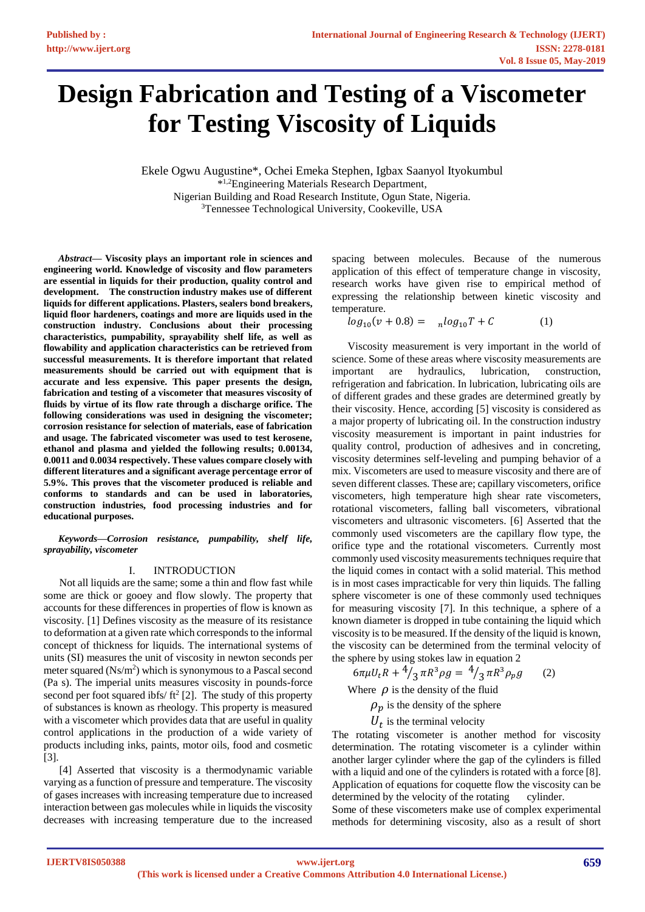# **Design Fabrication and Testing of a Viscometer for Testing Viscosity of Liquids**

Ekele Ogwu Augustine\*, Ochei Emeka Stephen, Igbax Saanyol Ityokumbul \* 1,2Engineering Materials Research Department, Nigerian Building and Road Research Institute, Ogun State, Nigeria. <sup>3</sup>Tennessee Technological University, Cookeville, USA

*Abstract***— Viscosity plays an important role in sciences and engineering world. Knowledge of viscosity and flow parameters are essential in liquids for their production, quality control and development. The construction industry makes use of different liquids for different applications. Plasters, sealers bond breakers, liquid floor hardeners, coatings and more are liquids used in the construction industry. Conclusions about their processing characteristics, pumpability, sprayability shelf life, as well as flowability and application characteristics can be retrieved from successful measurements. It is therefore important that related measurements should be carried out with equipment that is accurate and less expensive. This paper presents the design, fabrication and testing of a viscometer that measures viscosity of fluids by virtue of its flow rate through a discharge orifice. The following considerations was used in designing the viscometer; corrosion resistance for selection of materials, ease of fabrication and usage. The fabricated viscometer was used to test kerosene, ethanol and plasma and yielded the following results; 0.00134, 0.0011 and 0.0034 respectively. These values compare closely with different literatures and a significant average percentage error of 5.9%. This proves that the viscometer produced is reliable and conforms to standards and can be used in laboratories, construction industries, food processing industries and for educational purposes.**

*Keywords—Corrosion resistance, pumpability, shelf life, sprayability, viscometer* 

#### I. INTRODUCTION

Not all liquids are the same; some a thin and flow fast while some are thick or gooey and flow slowly. The property that accounts for these differences in properties of flow is known as viscosity. [1] Defines viscosity as the measure of its resistance to deformation at a given rate which corresponds to the informal concept of thickness for liquids. The international systems of units (SI) measures the unit of viscosity in newton seconds per meter squared  $(Ns/m^2)$  which is synonymous to a Pascal second (Pa s). The imperial units measures viscosity in pounds-force second per foot squared ibfs/ $ft^2$  [2]. The study of this property of substances is known as rheology. This property is measured with a viscometer which provides data that are useful in quality control applications in the production of a wide variety of products including inks, paints, motor oils, food and cosmetic [3].

[4] Asserted that viscosity is a thermodynamic variable varying as a function of pressure and temperature. The viscosity of gases increases with increasing temperature due to increased interaction between gas molecules while in liquids the viscosity decreases with increasing temperature due to the increased

spacing between molecules. Because of the numerous application of this effect of temperature change in viscosity, research works have given rise to empirical method of expressing the relationship between kinetic viscosity and temperature.

 $log_{10}(v + 0.8) = nlog_{10}T + C$  (1)

Viscosity measurement is very important in the world of science. Some of these areas where viscosity measurements are important are hydraulics, lubrication, construction, refrigeration and fabrication. In lubrication, lubricating oils are of different grades and these grades are determined greatly by their viscosity. Hence, according [5] viscosity is considered as a major property of lubricating oil. In the construction industry viscosity measurement is important in paint industries for quality control, production of adhesives and in concreting, viscosity determines self-leveling and pumping behavior of a mix. Viscometers are used to measure viscosity and there are of seven different classes. These are; capillary viscometers, orifice viscometers, high temperature high shear rate viscometers, rotational viscometers, falling ball viscometers, vibrational viscometers and ultrasonic viscometers. [6] Asserted that the commonly used viscometers are the capillary flow type, the orifice type and the rotational viscometers. Currently most commonly used viscosity measurements techniques require that the liquid comes in contact with a solid material. This method is in most cases impracticable for very thin liquids. The falling sphere viscometer is one of these commonly used techniques for measuring viscosity [7]. In this technique, a sphere of a known diameter is dropped in tube containing the liquid which viscosity is to be measured. If the density of the liquid is known, the viscosity can be determined from the terminal velocity of the sphere by using stokes law in equation 2

$$
6\pi\mu U_t R + \frac{4}{3}\pi R^3 \rho g = \frac{4}{3}\pi R^3 \rho_p g \qquad (2)
$$

Where  $\rho$  is the density of the fluid

 $\rho_n$  is the density of the sphere

 $U_t$  is the terminal velocity

The rotating viscometer is another method for viscosity determination. The rotating viscometer is a cylinder within another larger cylinder where the gap of the cylinders is filled with a liquid and one of the cylinders is rotated with a force [8]. Application of equations for coquette flow the viscosity can be determined by the velocity of the rotating cylinder.

Some of these viscometers make use of complex experimental methods for determining viscosity, also as a result of short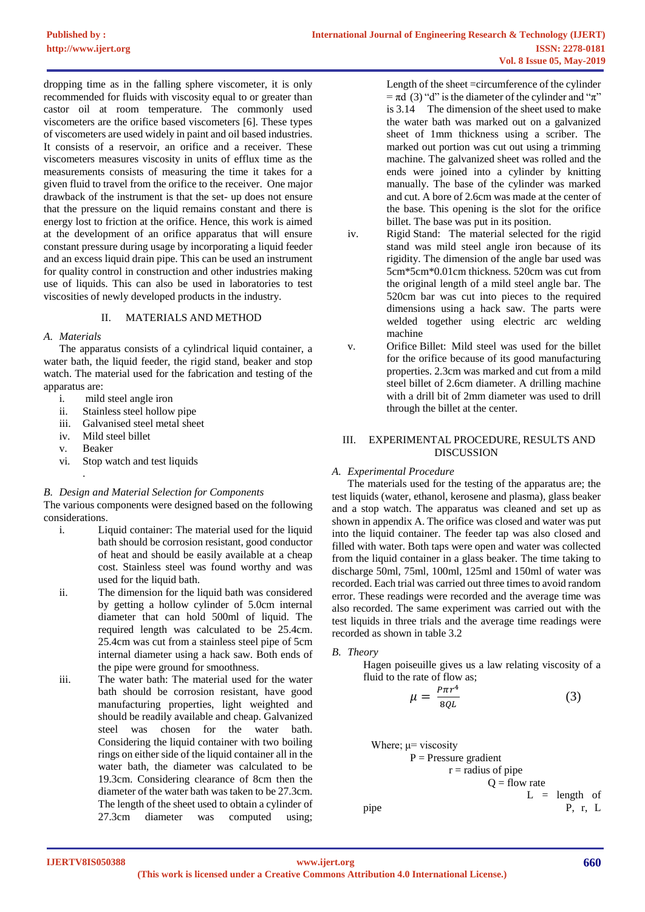dropping time as in the falling sphere viscometer, it is only recommended for fluids with viscosity equal to or greater than castor oil at room temperature. The commonly used viscometers are the orifice based viscometers [6]. These types of viscometers are used widely in paint and oil based industries. It consists of a reservoir, an orifice and a receiver. These viscometers measures viscosity in units of efflux time as the measurements consists of measuring the time it takes for a given fluid to travel from the orifice to the receiver. One major drawback of the instrument is that the set- up does not ensure that the pressure on the liquid remains constant and there is energy lost to friction at the orifice. Hence, this work is aimed at the development of an orifice apparatus that will ensure constant pressure during usage by incorporating a liquid feeder and an excess liquid drain pipe. This can be used an instrument for quality control in construction and other industries making use of liquids. This can also be used in laboratories to test viscosities of newly developed products in the industry.

## II. MATERIALS AND METHOD

#### *A. Materials*

The apparatus consists of a cylindrical liquid container, a water bath, the liquid feeder, the rigid stand, beaker and stop watch. The material used for the fabrication and testing of the apparatus are:

- i. mild steel angle iron
- ii. Stainless steel hollow pipe
- iii. Galvanised steel metal sheet
- iv. Mild steel billet
- v. Beaker

.

vi. Stop watch and test liquids

#### *B. Design and Material Selection for Components*

The various components were designed based on the following considerations.

- i. Liquid container: The material used for the liquid bath should be corrosion resistant, good conductor of heat and should be easily available at a cheap cost. Stainless steel was found worthy and was used for the liquid bath.
- ii. The dimension for the liquid bath was considered by getting a hollow cylinder of 5.0cm internal diameter that can hold 500ml of liquid. The required length was calculated to be 25.4cm. 25.4cm was cut from a stainless steel pipe of 5cm internal diameter using a hack saw. Both ends of the pipe were ground for smoothness.
- iii. The water bath: The material used for the water bath should be corrosion resistant, have good manufacturing properties, light weighted and should be readily available and cheap. Galvanized steel was chosen for the water bath. Considering the liquid container with two boiling rings on either side of the liquid container all in the water bath, the diameter was calculated to be 19.3cm. Considering clearance of 8cm then the diameter of the water bath was taken to be 27.3cm. The length of the sheet used to obtain a cylinder of 27.3cm diameter was computed using;

Length of the sheet =circumference of the cylinder  $= \pi d$  (3) "d" is the diameter of the cylinder and " $\pi$ " is 3.14 The dimension of the sheet used to make the water bath was marked out on a galvanized sheet of 1mm thickness using a scriber. The marked out portion was cut out using a trimming machine. The galvanized sheet was rolled and the ends were joined into a cylinder by knitting manually. The base of the cylinder was marked and cut. A bore of 2.6cm was made at the center of the base. This opening is the slot for the orifice billet. The base was put in its position.

- iv. Rigid Stand: The material selected for the rigid stand was mild steel angle iron because of its rigidity. The dimension of the angle bar used was 5cm\*5cm\*0.01cm thickness. 520cm was cut from the original length of a mild steel angle bar. The 520cm bar was cut into pieces to the required dimensions using a hack saw. The parts were welded together using electric arc welding machine
- v. Orifice Billet: Mild steel was used for the billet for the orifice because of its good manufacturing properties. 2.3cm was marked and cut from a mild steel billet of 2.6cm diameter. A drilling machine with a drill bit of 2mm diameter was used to drill through the billet at the center.

#### III. EXPERIMENTAL PROCEDURE, RESULTS AND DISCUSSION

### *A. Experimental Procedure*

The materials used for the testing of the apparatus are; the test liquids (water, ethanol, kerosene and plasma), glass beaker and a stop watch. The apparatus was cleaned and set up as shown in appendix A. The orifice was closed and water was put into the liquid container. The feeder tap was also closed and filled with water. Both taps were open and water was collected from the liquid container in a glass beaker. The time taking to discharge 50ml, 75ml, 100ml, 125ml and 150ml of water was recorded. Each trial was carried out three times to avoid random error. These readings were recorded and the average time was also recorded. The same experiment was carried out with the test liquids in three trials and the average time readings were recorded as shown in table 3.2

### *B. Theory*

Hagen poiseuille gives us a law relating viscosity of a fluid to the rate of flow as;

$$
\mu = \frac{p_{\pi r^4}}{8QL} \tag{3}
$$

Where; 
$$
\mu
$$
 = viscosity  
\n $P = \text{pressure gradient}$   
\n $r = \text{radius of pipe}$   
\n $Q = \text{flow rate}$   
\n $L = \text{length of } P, r, L$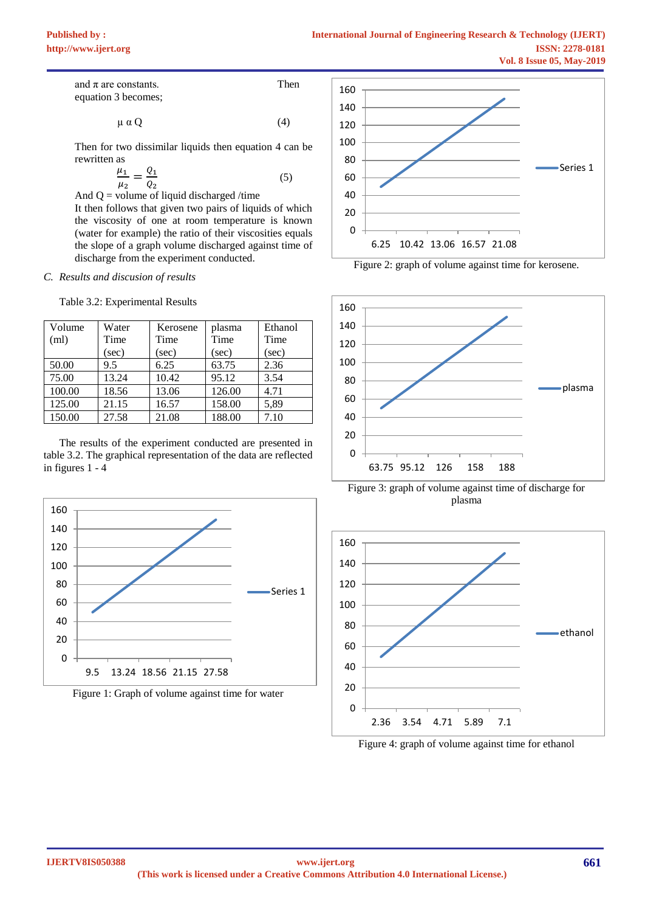and  $\pi$  are constants. Then equation 3 becomes;

$$
\mu \alpha Q \tag{4}
$$

Then for two dissimilar liquids then equation 4 can be rewritten as

$$
\frac{\mu_1}{\mu_2} = \frac{Q_1}{Q_2} \tag{5}
$$

And  $Q =$  volume of liquid discharged /time

It then follows that given two pairs of liquids of which the viscosity of one at room temperature is known (water for example) the ratio of their viscosities equals the slope of a graph volume discharged against time of discharge from the experiment conducted.

#### *C. Results and discusion of results*

Table 3.2: Experimental Results

| Volume | Water | Kerosene | plasma | Ethanol |
|--------|-------|----------|--------|---------|
| (ml)   | Time  | Time     | Time   | Time    |
|        | (sec) | (sec)    | (sec)  | (sec)   |
| 50.00  | 9.5   | 6.25     | 63.75  | 2.36    |
| 75.00  | 13.24 | 10.42    | 95.12  | 3.54    |
| 100.00 | 18.56 | 13.06    | 126.00 | 4.71    |
| 125.00 | 21.15 | 16.57    | 158.00 | 5,89    |
| 150.00 | 27.58 | 21.08    | 188.00 | 7.10    |

The results of the experiment conducted are presented in table 3.2. The graphical representation of the data are reflected in figures 1 - 4



Figure 1: Graph of volume against time for water



Figure 2: graph of volume against time for kerosene.



Figure 3: graph of volume against time of discharge for plasma



Figure 4: graph of volume against time for ethanol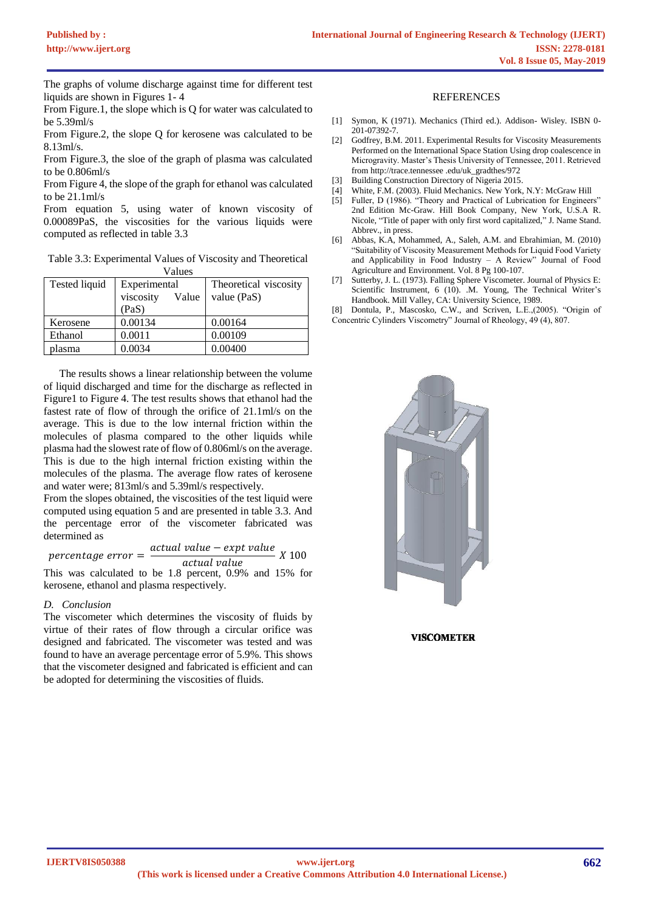The graphs of volume discharge against time for different test liquids are shown in Figures 1- 4

From Figure.1, the slope which is Q for water was calculated to be 5.39ml/s

From Figure.2, the slope Q for kerosene was calculated to be 8.13ml/s.

From Figure.3, the sloe of the graph of plasma was calculated to be 0.806ml/s

From Figure 4, the slope of the graph for ethanol was calculated to be 21.1ml/s

From equation 5, using water of known viscosity of 0.00089PaS, the viscosities for the various liquids were computed as reflected in table 3.3

Table 3.3: Experimental Values of Viscosity and Theoretical Values

| Tested liquid | Experimental       | Theoretical viscosity |  |  |  |
|---------------|--------------------|-----------------------|--|--|--|
|               | viscosity<br>Value | value (PaS)           |  |  |  |
|               | (PaS)              |                       |  |  |  |
| Kerosene      | 0.00134            | 0.00164               |  |  |  |
| Ethanol       | 0.0011             | 0.00109               |  |  |  |
| blasma        | 0.0034             | 0.00400               |  |  |  |

The results shows a linear relationship between the volume of liquid discharged and time for the discharge as reflected in Figure1 to Figure 4. The test results shows that ethanol had the fastest rate of flow of through the orifice of 21.1ml/s on the average. This is due to the low internal friction within the molecules of plasma compared to the other liquids while plasma had the slowest rate of flow of 0.806ml/s on the average. This is due to the high internal friction existing within the molecules of the plasma. The average flow rates of kerosene and water were; 813ml/s and 5.39ml/s respectively.

From the slopes obtained, the viscosities of the test liquid were computed using equation 5 and are presented in table 3.3. And the percentage error of the viscometer fabricated was determined as

 $percentage$   $error =$ actual value – expt value  $\frac{1}{\text{actual value}}$  X 100

This was calculated to be 1.8 percent, 0.9% and 15% for kerosene, ethanol and plasma respectively.

### *D. Conclusion*

The viscometer which determines the viscosity of fluids by virtue of their rates of flow through a circular orifice was designed and fabricated. The viscometer was tested and was found to have an average percentage error of 5.9%. This shows that the viscometer designed and fabricated is efficient and can be adopted for determining the viscosities of fluids.

#### REFERENCES

- [1] Symon, K (1971). Mechanics (Third ed.). Addison- Wisley. ISBN 0- 201-07392-7.
- [2] Godfrey, B.M. 2011. Experimental Results for Viscosity Measurements Performed on the International Space Station Using drop coalescence in Microgravity. Master's Thesis University of Tennessee, 2011. Retrieved from http://trace.tennessee .edu/uk\_gradthes/972
- [3] Building Construction Directory of Nigeria 2015.
- [4] White, F.M. (2003). Fluid Mechanics. New York, N.Y: McGraw Hill
- [5] Fuller, D (1986). "Theory and Practical of Lubrication for Engineers" 2nd Edition Mc-Graw. Hill Book Company, New York, U.S.A R. Nicole, "Title of paper with only first word capitalized," J. Name Stand. Abbrev., in press.
- [6] Abbas, K.A, Mohammed, A., Saleh, A.M. and Ebrahimian, M. (2010) "Suitability of Viscosity Measurement Methods for Liquid Food Variety and Applicability in Food Industry – A Review" Journal of Food Agriculture and Environment. Vol. 8 Pg 100-107.
- [7] Sutterby, J. L. (1973). Falling Sphere Viscometer. Journal of Physics E: Scientific Instrument, 6 (10). .M. Young, The Technical Writer's Handbook. Mill Valley, CA: University Science, 1989.
- Dontula, P., Mascosko, C.W., and Scriven, L.E.,(2005). "Origin of Concentric Cylinders Viscometry" Journal of Rheology, 49 (4), 807.



**VISCOMETER**